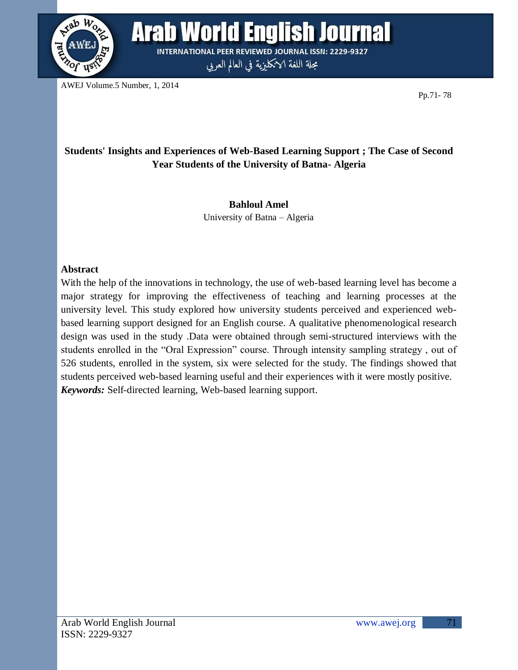

**Arab World English Journal INTERNATIONAL PEER REVIEWED JOURNAL ISSN: 2229-9327** 

مجلة اللغة الانكليزية في العالم العربي

AWEJ Volume.5 Number, 1, 2014

Pp.71- 78

# **Students' Insights and Experiences of Web-Based Learning Support ; The Case of Second Year Students of the University of Batna- Algeria**

# **Bahloul Amel**

University of Batna – Algeria

# **Abstract**

With the help of the innovations in technology, the use of web-based learning level has become a major strategy for improving the effectiveness of teaching and learning processes at the university level. This study explored how university students perceived and experienced webbased learning support designed for an English course. A qualitative phenomenological research design was used in the study .Data were obtained through semi-structured interviews with the students enrolled in the "Oral Expression" course. Through intensity sampling strategy , out of 526 students, enrolled in the system, six were selected for the study. The findings showed that students perceived web-based learning useful and their experiences with it were mostly positive. *Keywords:* Self-directed learning, Web-based learning support.

71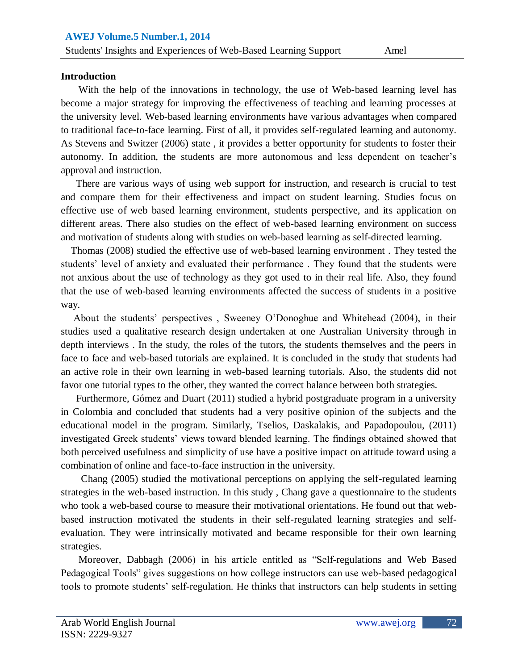#### **Introduction**

 With the help of the innovations in technology, the use of Web-based learning level has become a major strategy for improving the effectiveness of teaching and learning processes at the university level. Web-based learning environments have various advantages when compared to traditional face-to-face learning. First of all, it provides self-regulated learning and autonomy. As Stevens and Switzer (2006) state , it provides a better opportunity for students to foster their autonomy. In addition, the students are more autonomous and less dependent on teacher"s approval and instruction.

 There are various ways of using web support for instruction, and research is crucial to test and compare them for their effectiveness and impact on student learning. Studies focus on effective use of web based learning environment, students perspective, and its application on different areas. There also studies on the effect of web-based learning environment on success and motivation of students along with studies on web-based learning as self-directed learning.

 Thomas (2008) studied the effective use of web-based learning environment . They tested the students' level of anxiety and evaluated their performance. They found that the students were not anxious about the use of technology as they got used to in their real life. Also, they found that the use of web-based learning environments affected the success of students in a positive way.

 About the students" perspectives , Sweeney O"Donoghue and Whitehead (2004), in their studies used a qualitative research design undertaken at one Australian University through in depth interviews . In the study, the roles of the tutors, the students themselves and the peers in face to face and web-based tutorials are explained. It is concluded in the study that students had an active role in their own learning in web-based learning tutorials. Also, the students did not favor one tutorial types to the other, they wanted the correct balance between both strategies.

 Furthermore, Gómez and Duart (2011) studied a hybrid postgraduate program in a university in Colombia and concluded that students had a very positive opinion of the subjects and the educational model in the program. Similarly, Tselios, Daskalakis, and Papadopoulou, (2011) investigated Greek students' views toward blended learning. The findings obtained showed that both perceived usefulness and simplicity of use have a positive impact on attitude toward using a combination of online and face-to-face instruction in the university.

 Chang (2005) studied the motivational perceptions on applying the self-regulated learning strategies in the web-based instruction. In this study , Chang gave a questionnaire to the students who took a web-based course to measure their motivational orientations. He found out that webbased instruction motivated the students in their self-regulated learning strategies and selfevaluation. They were intrinsically motivated and became responsible for their own learning strategies.

 Moreover, Dabbagh (2006) in his article entitled as "Self-regulations and Web Based Pedagogical Tools" gives suggestions on how college instructors can use web-based pedagogical tools to promote students" self-regulation. He thinks that instructors can help students in setting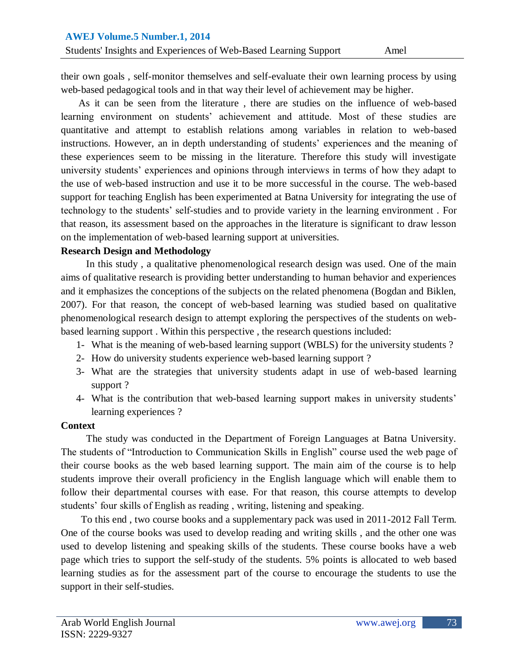their own goals , self-monitor themselves and self-evaluate their own learning process by using web-based pedagogical tools and in that way their level of achievement may be higher.

 As it can be seen from the literature , there are studies on the influence of web-based learning environment on students" achievement and attitude. Most of these studies are quantitative and attempt to establish relations among variables in relation to web-based instructions. However, an in depth understanding of students' experiences and the meaning of these experiences seem to be missing in the literature. Therefore this study will investigate university students" experiences and opinions through interviews in terms of how they adapt to the use of web-based instruction and use it to be more successful in the course. The web-based support for teaching English has been experimented at Batna University for integrating the use of technology to the students" self-studies and to provide variety in the learning environment . For that reason, its assessment based on the approaches in the literature is significant to draw lesson on the implementation of web-based learning support at universities.

#### **Research Design and Methodology**

 In this study , a qualitative phenomenological research design was used. One of the main aims of qualitative research is providing better understanding to human behavior and experiences and it emphasizes the conceptions of the subjects on the related phenomena (Bogdan and Biklen, 2007). For that reason, the concept of web-based learning was studied based on qualitative phenomenological research design to attempt exploring the perspectives of the students on webbased learning support . Within this perspective , the research questions included:

- 1- What is the meaning of web-based learning support (WBLS) for the university students ?
- 2- How do university students experience web-based learning support ?
- 3- What are the strategies that university students adapt in use of web-based learning support ?
- 4- What is the contribution that web-based learning support makes in university students" learning experiences ?

# **Context**

 The study was conducted in the Department of Foreign Languages at Batna University. The students of "Introduction to Communication Skills in English" course used the web page of their course books as the web based learning support. The main aim of the course is to help students improve their overall proficiency in the English language which will enable them to follow their departmental courses with ease. For that reason, this course attempts to develop students' four skills of English as reading, writing, listening and speaking.

 To this end , two course books and a supplementary pack was used in 2011-2012 Fall Term. One of the course books was used to develop reading and writing skills , and the other one was used to develop listening and speaking skills of the students. These course books have a web page which tries to support the self-study of the students. 5% points is allocated to web based learning studies as for the assessment part of the course to encourage the students to use the support in their self-studies.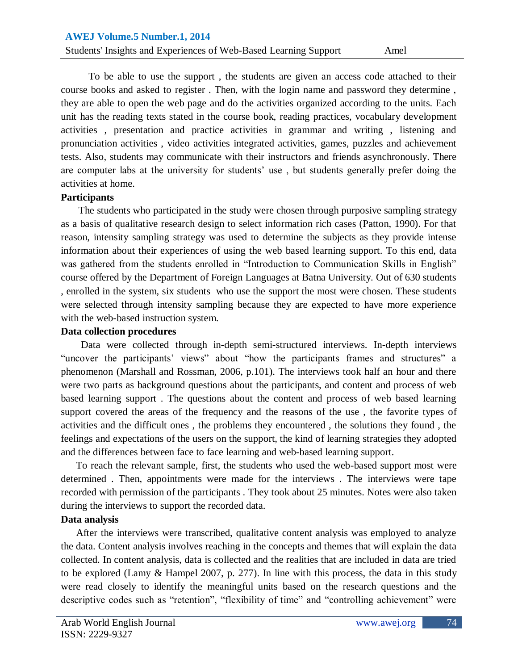To be able to use the support , the students are given an access code attached to their course books and asked to register . Then, with the login name and password they determine , they are able to open the web page and do the activities organized according to the units. Each unit has the reading texts stated in the course book, reading practices, vocabulary development activities , presentation and practice activities in grammar and writing , listening and pronunciation activities , video activities integrated activities, games, puzzles and achievement tests. Also, students may communicate with their instructors and friends asynchronously. There are computer labs at the university for students' use, but students generally prefer doing the activities at home.

#### **Participants**

 The students who participated in the study were chosen through purposive sampling strategy as a basis of qualitative research design to select information rich cases (Patton, 1990). For that reason, intensity sampling strategy was used to determine the subjects as they provide intense information about their experiences of using the web based learning support. To this end, data was gathered from the students enrolled in "Introduction to Communication Skills in English" course offered by the Department of Foreign Languages at Batna University. Out of 630 students , enrolled in the system, six students who use the support the most were chosen. These students were selected through intensity sampling because they are expected to have more experience with the web-based instruction system.

#### **Data collection procedures**

 Data were collected through in-depth semi-structured interviews. In-depth interviews "uncover the participants" views" about "how the participants frames and structures" a phenomenon (Marshall and Rossman, 2006, p.101). The interviews took half an hour and there were two parts as background questions about the participants, and content and process of web based learning support . The questions about the content and process of web based learning support covered the areas of the frequency and the reasons of the use , the favorite types of activities and the difficult ones , the problems they encountered , the solutions they found , the feelings and expectations of the users on the support, the kind of learning strategies they adopted and the differences between face to face learning and web-based learning support.

 To reach the relevant sample, first, the students who used the web-based support most were determined . Then, appointments were made for the interviews . The interviews were tape recorded with permission of the participants . They took about 25 minutes. Notes were also taken during the interviews to support the recorded data.

# **Data analysis**

 After the interviews were transcribed, qualitative content analysis was employed to analyze the data. Content analysis involves reaching in the concepts and themes that will explain the data collected. In content analysis, data is collected and the realities that are included in data are tried to be explored (Lamy & Hampel 2007, p. 277). In line with this process, the data in this study were read closely to identify the meaningful units based on the research questions and the descriptive codes such as "retention", "flexibility of time" and "controlling achievement" were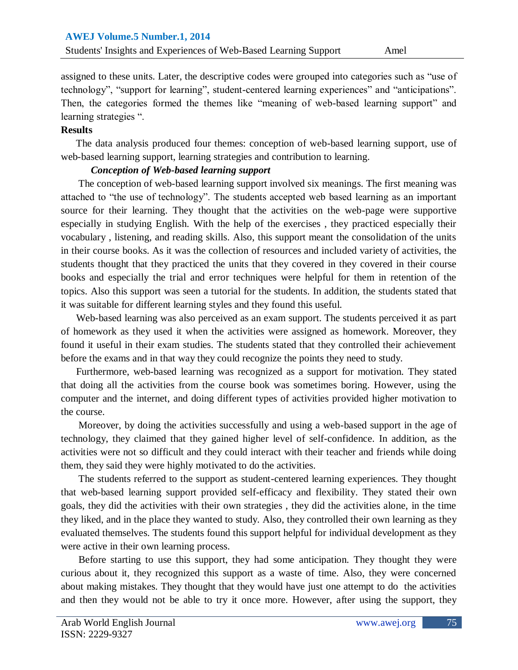assigned to these units. Later, the descriptive codes were grouped into categories such as "use of technology", "support for learning", student-centered learning experiences" and "anticipations". Then, the categories formed the themes like "meaning of web-based learning support" and learning strategies ".

# **Results**

 The data analysis produced four themes: conception of web-based learning support, use of web-based learning support, learning strategies and contribution to learning.

# *Conception of Web-based learning support*

 The conception of web-based learning support involved six meanings. The first meaning was attached to "the use of technology". The students accepted web based learning as an important source for their learning. They thought that the activities on the web-page were supportive especially in studying English. With the help of the exercises , they practiced especially their vocabulary , listening, and reading skills. Also, this support meant the consolidation of the units in their course books. As it was the collection of resources and included variety of activities, the students thought that they practiced the units that they covered in they covered in their course books and especially the trial and error techniques were helpful for them in retention of the topics. Also this support was seen a tutorial for the students. In addition, the students stated that it was suitable for different learning styles and they found this useful.

 Web-based learning was also perceived as an exam support. The students perceived it as part of homework as they used it when the activities were assigned as homework. Moreover, they found it useful in their exam studies. The students stated that they controlled their achievement before the exams and in that way they could recognize the points they need to study.

 Furthermore, web-based learning was recognized as a support for motivation. They stated that doing all the activities from the course book was sometimes boring. However, using the computer and the internet, and doing different types of activities provided higher motivation to the course.

 Moreover, by doing the activities successfully and using a web-based support in the age of technology, they claimed that they gained higher level of self-confidence. In addition, as the activities were not so difficult and they could interact with their teacher and friends while doing them, they said they were highly motivated to do the activities.

 The students referred to the support as student-centered learning experiences. They thought that web-based learning support provided self-efficacy and flexibility. They stated their own goals, they did the activities with their own strategies , they did the activities alone, in the time they liked, and in the place they wanted to study. Also, they controlled their own learning as they evaluated themselves. The students found this support helpful for individual development as they were active in their own learning process.

 Before starting to use this support, they had some anticipation. They thought they were curious about it, they recognized this support as a waste of time. Also, they were concerned about making mistakes. They thought that they would have just one attempt to do the activities and then they would not be able to try it once more. However, after using the support, they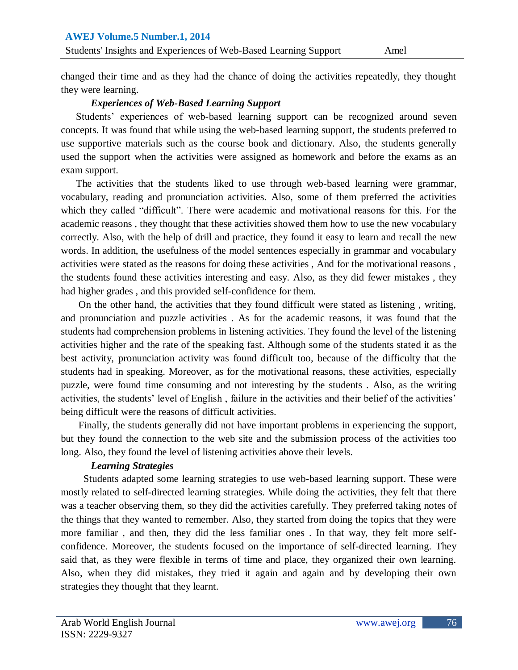changed their time and as they had the chance of doing the activities repeatedly, they thought they were learning.

# *Experiences of Web-Based Learning Support*

Students' experiences of web-based learning support can be recognized around seven concepts. It was found that while using the web-based learning support, the students preferred to use supportive materials such as the course book and dictionary. Also, the students generally used the support when the activities were assigned as homework and before the exams as an exam support.

 The activities that the students liked to use through web-based learning were grammar, vocabulary, reading and pronunciation activities. Also, some of them preferred the activities which they called "difficult". There were academic and motivational reasons for this. For the academic reasons , they thought that these activities showed them how to use the new vocabulary correctly. Also, with the help of drill and practice, they found it easy to learn and recall the new words. In addition, the usefulness of the model sentences especially in grammar and vocabulary activities were stated as the reasons for doing these activities , And for the motivational reasons , the students found these activities interesting and easy. Also, as they did fewer mistakes , they had higher grades , and this provided self-confidence for them.

 On the other hand, the activities that they found difficult were stated as listening , writing, and pronunciation and puzzle activities . As for the academic reasons, it was found that the students had comprehension problems in listening activities. They found the level of the listening activities higher and the rate of the speaking fast. Although some of the students stated it as the best activity, pronunciation activity was found difficult too, because of the difficulty that the students had in speaking. Moreover, as for the motivational reasons, these activities, especially puzzle, were found time consuming and not interesting by the students . Also, as the writing activities, the students' level of English, failure in the activities and their belief of the activities' being difficult were the reasons of difficult activities.

 Finally, the students generally did not have important problems in experiencing the support, but they found the connection to the web site and the submission process of the activities too long. Also, they found the level of listening activities above their levels.

# *Learning Strategies*

Students adapted some learning strategies to use web-based learning support. These were mostly related to self-directed learning strategies. While doing the activities, they felt that there was a teacher observing them, so they did the activities carefully. They preferred taking notes of the things that they wanted to remember. Also, they started from doing the topics that they were more familiar , and then, they did the less familiar ones . In that way, they felt more selfconfidence. Moreover, the students focused on the importance of self-directed learning. They said that, as they were flexible in terms of time and place, they organized their own learning. Also, when they did mistakes, they tried it again and again and by developing their own strategies they thought that they learnt.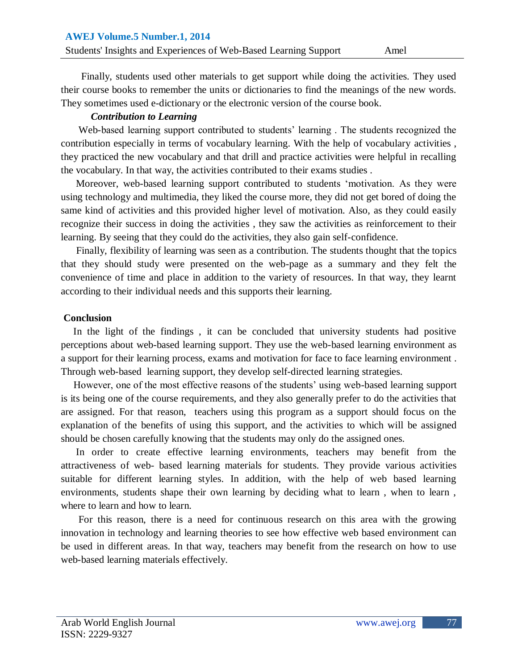Finally, students used other materials to get support while doing the activities. They used their course books to remember the units or dictionaries to find the meanings of the new words. They sometimes used e-dictionary or the electronic version of the course book.

#### *Contribution to Learning*

Web-based learning support contributed to students' learning. The students recognized the contribution especially in terms of vocabulary learning. With the help of vocabulary activities , they practiced the new vocabulary and that drill and practice activities were helpful in recalling the vocabulary. In that way, the activities contributed to their exams studies .

 Moreover, web-based learning support contributed to students "motivation. As they were using technology and multimedia, they liked the course more, they did not get bored of doing the same kind of activities and this provided higher level of motivation. Also, as they could easily recognize their success in doing the activities , they saw the activities as reinforcement to their learning. By seeing that they could do the activities, they also gain self-confidence.

 Finally, flexibility of learning was seen as a contribution. The students thought that the topics that they should study were presented on the web-page as a summary and they felt the convenience of time and place in addition to the variety of resources. In that way, they learnt according to their individual needs and this supports their learning.

#### **Conclusion**

 In the light of the findings , it can be concluded that university students had positive perceptions about web-based learning support. They use the web-based learning environment as a support for their learning process, exams and motivation for face to face learning environment . Through web-based learning support, they develop self-directed learning strategies.

However, one of the most effective reasons of the students' using web-based learning support is its being one of the course requirements, and they also generally prefer to do the activities that are assigned. For that reason, teachers using this program as a support should focus on the explanation of the benefits of using this support, and the activities to which will be assigned should be chosen carefully knowing that the students may only do the assigned ones.

 In order to create effective learning environments, teachers may benefit from the attractiveness of web- based learning materials for students. They provide various activities suitable for different learning styles. In addition, with the help of web based learning environments, students shape their own learning by deciding what to learn , when to learn , where to learn and how to learn.

 For this reason, there is a need for continuous research on this area with the growing innovation in technology and learning theories to see how effective web based environment can be used in different areas. In that way, teachers may benefit from the research on how to use web-based learning materials effectively.